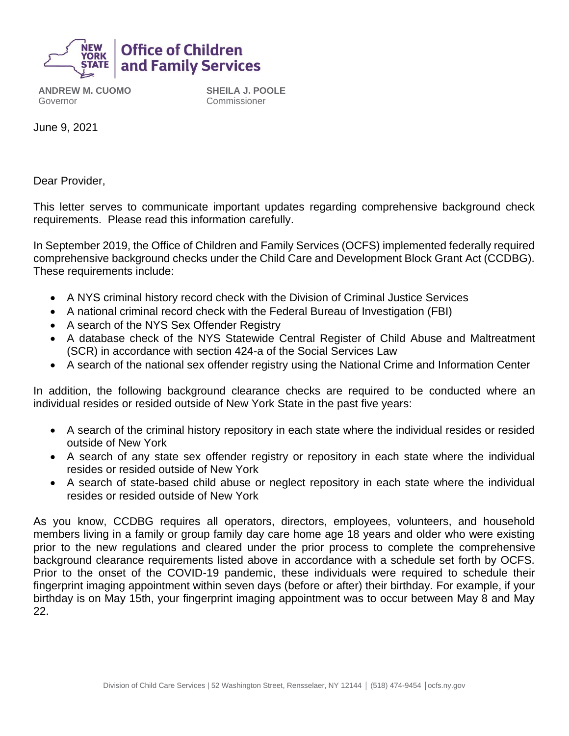

**ANDREW M. CUOMO** Governor

**SHEILA J. POOLE** Commissioner

June 9, 2021

Dear Provider,

This letter serves to communicate important updates regarding comprehensive background check requirements. Please read this information carefully.

In September 2019, the Office of Children and Family Services (OCFS) implemented federally required comprehensive background checks under the Child Care and Development Block Grant Act (CCDBG). These requirements include:

- A NYS criminal history record check with the Division of Criminal Justice Services
- A national criminal record check with the Federal Bureau of Investigation (FBI)
- A search of the NYS Sex Offender Registry
- A database check of the NYS Statewide Central Register of Child Abuse and Maltreatment (SCR) in accordance with section 424-a of the Social Services Law
- A search of the national sex offender registry using the National Crime and Information Center

In addition, the following background clearance checks are required to be conducted where an individual resides or resided outside of New York State in the past five years:

- A search of the criminal history repository in each state where the individual resides or resided outside of New York
- A search of any state sex offender registry or repository in each state where the individual resides or resided outside of New York
- A search of state-based child abuse or neglect repository in each state where the individual resides or resided outside of New York

As you know, CCDBG requires all operators, directors, employees, volunteers, and household members living in a family or group family day care home age 18 years and older who were existing prior to the new regulations and cleared under the prior process to complete the comprehensive background clearance requirements listed above in accordance with a schedule set forth by OCFS. Prior to the onset of the COVID-19 pandemic, these individuals were required to schedule their fingerprint imaging appointment within seven days (before or after) their birthday. For example, if your birthday is on May 15th, your fingerprint imaging appointment was to occur between May 8 and May 22.